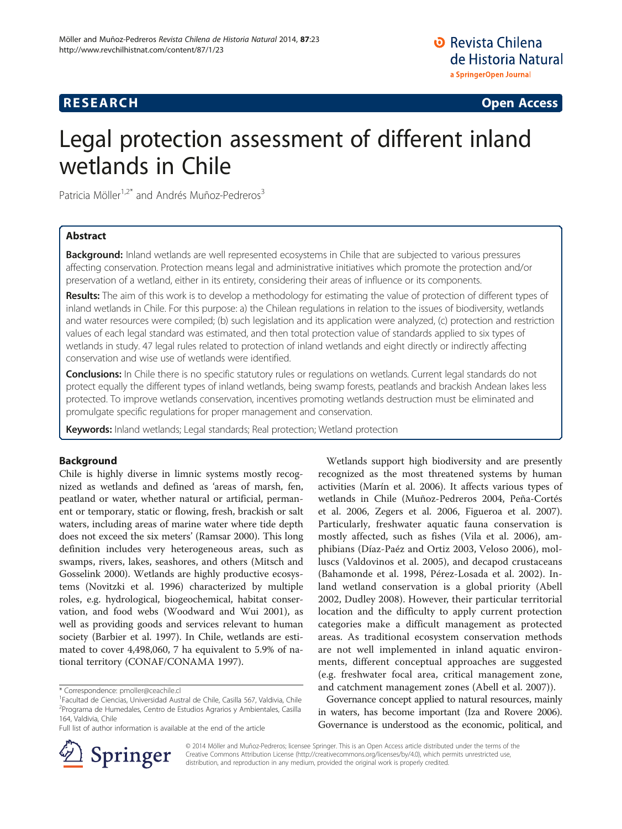# **RESEARCH RESEARCH CONSUMING ACCESS**

# Legal protection assessment of different inland wetlands in Chile

Patricia Möller<sup>1,2\*</sup> and Andrés Muñoz-Pedreros<sup>3</sup>

# Abstract

Background: Inland wetlands are well represented ecosystems in Chile that are subjected to various pressures affecting conservation. Protection means legal and administrative initiatives which promote the protection and/or preservation of a wetland, either in its entirety, considering their areas of influence or its components.

Results: The aim of this work is to develop a methodology for estimating the value of protection of different types of inland wetlands in Chile. For this purpose: a) the Chilean regulations in relation to the issues of biodiversity, wetlands and water resources were compiled; (b) such legislation and its application were analyzed, (c) protection and restriction values of each legal standard was estimated, and then total protection value of standards applied to six types of wetlands in study. 47 legal rules related to protection of inland wetlands and eight directly or indirectly affecting conservation and wise use of wetlands were identified.

**Conclusions:** In Chile there is no specific statutory rules or regulations on wetlands. Current legal standards do not protect equally the different types of inland wetlands, being swamp forests, peatlands and brackish Andean lakes less protected. To improve wetlands conservation, incentives promoting wetlands destruction must be eliminated and promulgate specific regulations for proper management and conservation.

Keywords: Inland wetlands; Legal standards; Real protection; Wetland protection

# Background

Chile is highly diverse in limnic systems mostly recognized as wetlands and defined as 'areas of marsh, fen, peatland or water, whether natural or artificial, permanent or temporary, static or flowing, fresh, brackish or salt waters, including areas of marine water where tide depth does not exceed the six meters' (Ramsar [2000\)](#page-12-0). This long definition includes very heterogeneous areas, such as swamps, rivers, lakes, seashores, and others (Mitsch and Gosselink [2000](#page-12-0)). Wetlands are highly productive ecosystems (Novitzki et al. [1996\)](#page-12-0) characterized by multiple roles, e.g. hydrological, biogeochemical, habitat conservation, and food webs (Woodward and Wui [2001](#page-12-0)), as well as providing goods and services relevant to human society (Barbier et al. [1997\)](#page-11-0). In Chile, wetlands are estimated to cover 4,498,060, 7 ha equivalent to 5.9% of national territory (CONAF/CONAMA [1997](#page-11-0)).

Wetlands support high biodiversity and are presently recognized as the most threatened systems by human activities (Marín et al. [2006\)](#page-12-0). It affects various types of wetlands in Chile (Muñoz-Pedreros [2004](#page-12-0), Peña-Cortés et al. [2006,](#page-12-0) Zegers et al. [2006](#page-12-0), Figueroa et al. [2007](#page-11-0)). Particularly, freshwater aquatic fauna conservation is mostly affected, such as fishes (Vila et al. [2006](#page-12-0)), amphibians (Díaz-Paéz and Ortiz [2003](#page-11-0), Veloso [2006](#page-12-0)), molluscs (Valdovinos et al. [2005\)](#page-12-0), and decapod crustaceans (Bahamonde et al. [1998](#page-11-0), Pérez-Losada et al. [2002\)](#page-12-0). Inland wetland conservation is a global priority (Abell [2002,](#page-11-0) Dudley [2008\)](#page-11-0). However, their particular territorial location and the difficulty to apply current protection categories make a difficult management as protected areas. As traditional ecosystem conservation methods are not well implemented in inland aquatic environments, different conceptual approaches are suggested (e.g. freshwater focal area, critical management zone, and catchment management zones (Abell et al. [2007\)](#page-11-0)).

Governance concept applied to natural resources, mainly in waters, has become important (Iza and Rovere [2006](#page-12-0)). Governance is understood as the economic, political, and



© 2014 Möller and Muñoz-Pedreros; licensee Springer. This is an Open Access article distributed under the terms of the Creative Commons Attribution License [\(http://creativecommons.org/licenses/by/4.0\)](http://creativecommons.org/licenses/by/4.0), which permits unrestricted use, distribution, and reproduction in any medium, provided the original work is properly credited.

<sup>\*</sup> Correspondence: [pmoller@ceachile.cl](mailto:pmoller@ceachile.cl) <sup>1</sup>

<sup>&</sup>lt;sup>1</sup>Facultad de Ciencias, Universidad Austral de Chile, Casilla 567, Valdivia, Chile <sup>2</sup> Programa de Humedales, Centro de Estudios Agrarios y Ambientales, Casilla 164, Valdivia, Chile

Full list of author information is available at the end of the article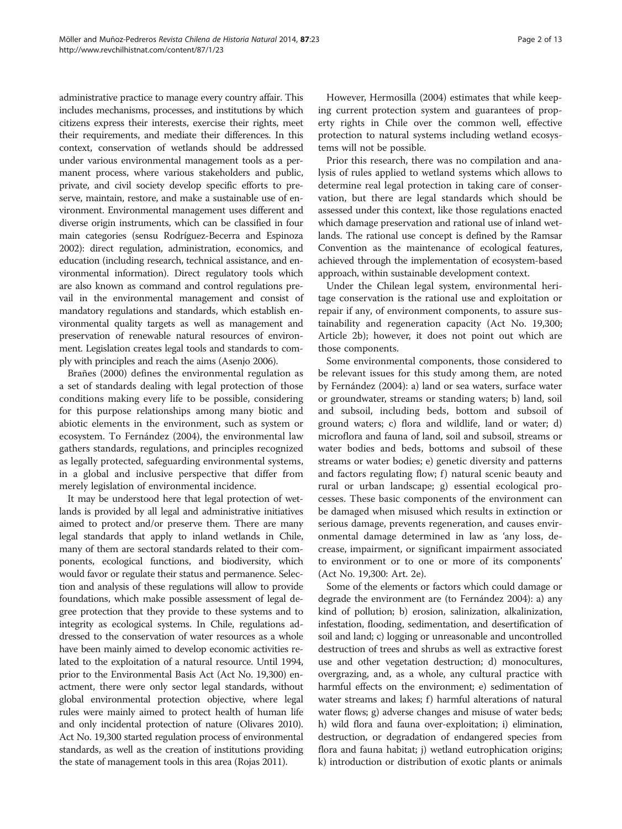administrative practice to manage every country affair. This includes mechanisms, processes, and institutions by which citizens express their interests, exercise their rights, meet their requirements, and mediate their differences. In this context, conservation of wetlands should be addressed under various environmental management tools as a permanent process, where various stakeholders and public, private, and civil society develop specific efforts to preserve, maintain, restore, and make a sustainable use of environment. Environmental management uses different and diverse origin instruments, which can be classified in four main categories (sensu Rodríguez-Becerra and Espinoza [2002\)](#page-12-0): direct regulation, administration, economics, and education (including research, technical assistance, and environmental information). Direct regulatory tools which are also known as command and control regulations prevail in the environmental management and consist of mandatory regulations and standards, which establish environmental quality targets as well as management and preservation of renewable natural resources of environment. Legislation creates legal tools and standards to comply with principles and reach the aims (Asenjo [2006](#page-11-0)).

Brañes [\(2000\)](#page-11-0) defines the environmental regulation as a set of standards dealing with legal protection of those conditions making every life to be possible, considering for this purpose relationships among many biotic and abiotic elements in the environment, such as system or ecosystem. To Fernández ([2004](#page-11-0)), the environmental law gathers standards, regulations, and principles recognized as legally protected, safeguarding environmental systems, in a global and inclusive perspective that differ from merely legislation of environmental incidence.

It may be understood here that legal protection of wetlands is provided by all legal and administrative initiatives aimed to protect and/or preserve them. There are many legal standards that apply to inland wetlands in Chile, many of them are sectoral standards related to their components, ecological functions, and biodiversity, which would favor or regulate their status and permanence. Selection and analysis of these regulations will allow to provide foundations, which make possible assessment of legal degree protection that they provide to these systems and to integrity as ecological systems. In Chile, regulations addressed to the conservation of water resources as a whole have been mainly aimed to develop economic activities related to the exploitation of a natural resource. Until 1994, prior to the Environmental Basis Act (Act No. 19,300) enactment, there were only sector legal standards, without global environmental protection objective, where legal rules were mainly aimed to protect health of human life and only incidental protection of nature (Olivares [2010](#page-12-0)). Act No. 19,300 started regulation process of environmental standards, as well as the creation of institutions providing the state of management tools in this area (Rojas [2011](#page-12-0)).

However, Hermosilla [\(2004\)](#page-11-0) estimates that while keeping current protection system and guarantees of property rights in Chile over the common well, effective protection to natural systems including wetland ecosystems will not be possible.

Prior this research, there was no compilation and analysis of rules applied to wetland systems which allows to determine real legal protection in taking care of conservation, but there are legal standards which should be assessed under this context, like those regulations enacted which damage preservation and rational use of inland wetlands. The rational use concept is defined by the Ramsar Convention as the maintenance of ecological features, achieved through the implementation of ecosystem-based approach, within sustainable development context.

Under the Chilean legal system, environmental heritage conservation is the rational use and exploitation or repair if any, of environment components, to assure sustainability and regeneration capacity (Act No. 19,300; Article 2b); however, it does not point out which are those components.

Some environmental components, those considered to be relevant issues for this study among them, are noted by Fernández ([2004](#page-11-0)): a) land or sea waters, surface water or groundwater, streams or standing waters; b) land, soil and subsoil, including beds, bottom and subsoil of ground waters; c) flora and wildlife, land or water; d) microflora and fauna of land, soil and subsoil, streams or water bodies and beds, bottoms and subsoil of these streams or water bodies; e) genetic diversity and patterns and factors regulating flow; f) natural scenic beauty and rural or urban landscape; g) essential ecological processes. These basic components of the environment can be damaged when misused which results in extinction or serious damage, prevents regeneration, and causes environmental damage determined in law as 'any loss, decrease, impairment, or significant impairment associated to environment or to one or more of its components' (Act No. 19,300: Art. 2e).

Some of the elements or factors which could damage or degrade the environment are (to Fernández [2004](#page-11-0)): a) any kind of pollution; b) erosion, salinization, alkalinization, infestation, flooding, sedimentation, and desertification of soil and land; c) logging or unreasonable and uncontrolled destruction of trees and shrubs as well as extractive forest use and other vegetation destruction; d) monocultures, overgrazing, and, as a whole, any cultural practice with harmful effects on the environment; e) sedimentation of water streams and lakes; f) harmful alterations of natural water flows; g) adverse changes and misuse of water beds; h) wild flora and fauna over-exploitation; i) elimination, destruction, or degradation of endangered species from flora and fauna habitat; j) wetland eutrophication origins; k) introduction or distribution of exotic plants or animals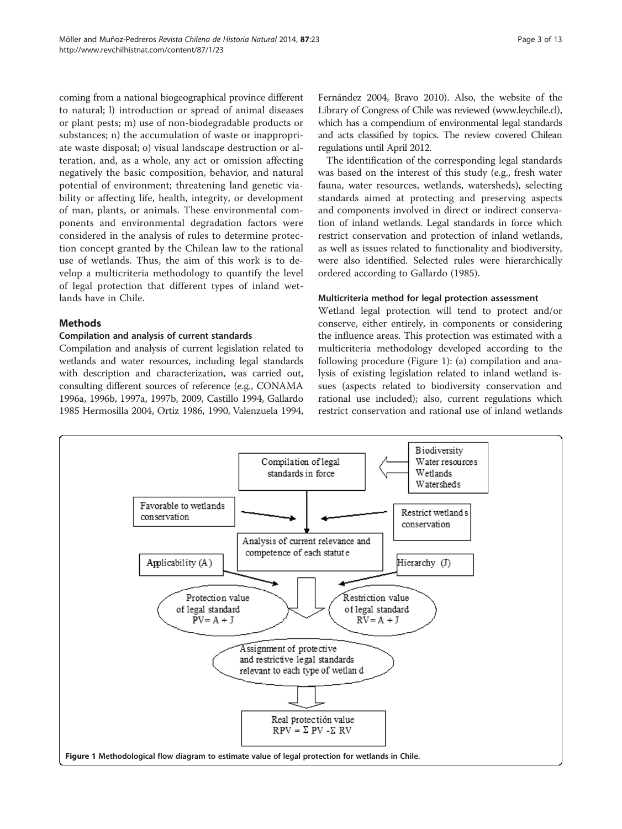<span id="page-2-0"></span>coming from a national biogeographical province different to natural; l) introduction or spread of animal diseases or plant pests; m) use of non-biodegradable products or substances; n) the accumulation of waste or inappropriate waste disposal; o) visual landscape destruction or alteration, and, as a whole, any act or omission affecting negatively the basic composition, behavior, and natural potential of environment; threatening land genetic viability or affecting life, health, integrity, or development of man, plants, or animals. These environmental components and environmental degradation factors were considered in the analysis of rules to determine protection concept granted by the Chilean law to the rational use of wetlands. Thus, the aim of this work is to develop a multicriteria methodology to quantify the level of legal protection that different types of inland wetlands have in Chile.

# Methods

# Compilation and analysis of current standards

Compilation and analysis of current legislation related to wetlands and water resources, including legal standards with description and characterization, was carried out, consulting different sources of reference (e.g., CONAMA [1996a](#page-11-0), [1996b, 1997a](#page-11-0), [1997b](#page-11-0), [2009,](#page-11-0) Castillo [1994,](#page-11-0) Gallardo [1985](#page-11-0) Hermosilla [2004](#page-11-0), Ortiz [1986, 1990](#page-12-0), Valenzuela [1994](#page-12-0),

Fernández [2004,](#page-11-0) Bravo [2010](#page-11-0)). Also, the website of the Library of Congress of Chile was reviewed ([www.leychile.cl](http://www.leychile.cl)), which has a compendium of environmental legal standards and acts classified by topics. The review covered Chilean regulations until April 2012.

The identification of the corresponding legal standards was based on the interest of this study (e.g., fresh water fauna, water resources, wetlands, watersheds), selecting standards aimed at protecting and preserving aspects and components involved in direct or indirect conservation of inland wetlands. Legal standards in force which restrict conservation and protection of inland wetlands, as well as issues related to functionality and biodiversity, were also identified. Selected rules were hierarchically ordered according to Gallardo ([1985](#page-11-0)).

# Multicriteria method for legal protection assessment

Wetland legal protection will tend to protect and/or conserve, either entirely, in components or considering the influence areas. This protection was estimated with a multicriteria methodology developed according to the following procedure (Figure 1): (a) compilation and analysis of existing legislation related to inland wetland issues (aspects related to biodiversity conservation and rational use included); also, current regulations which restrict conservation and rational use of inland wetlands

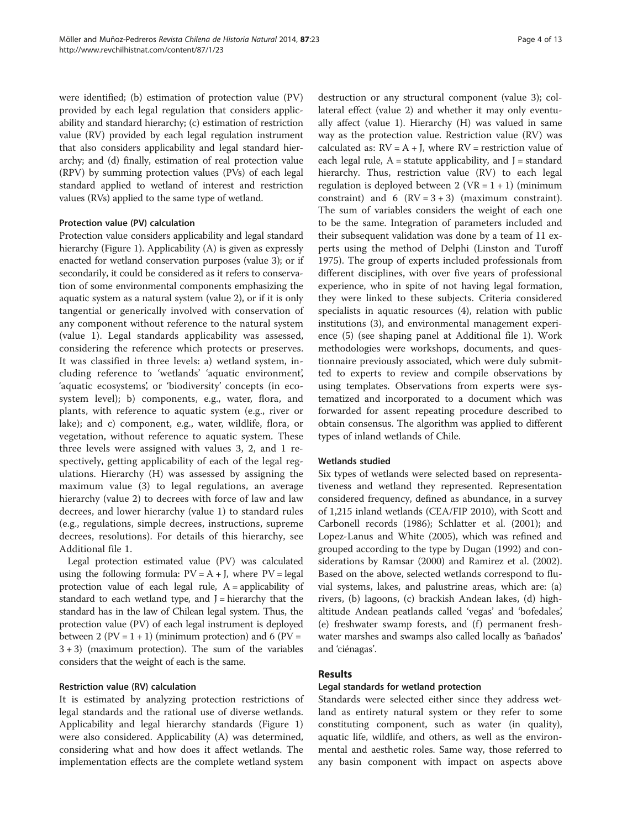were identified; (b) estimation of protection value (PV) provided by each legal regulation that considers applicability and standard hierarchy; (c) estimation of restriction value (RV) provided by each legal regulation instrument that also considers applicability and legal standard hierarchy; and (d) finally, estimation of real protection value (RPV) by summing protection values (PVs) of each legal standard applied to wetland of interest and restriction values (RVs) applied to the same type of wetland.

#### Protection value (PV) calculation

Protection value considers applicability and legal standard hierarchy (Figure [1](#page-2-0)). Applicability (A) is given as expressly enacted for wetland conservation purposes (value 3); or if secondarily, it could be considered as it refers to conservation of some environmental components emphasizing the aquatic system as a natural system (value 2), or if it is only tangential or generically involved with conservation of any component without reference to the natural system (value 1). Legal standards applicability was assessed, considering the reference which protects or preserves. It was classified in three levels: a) wetland system, including reference to 'wetlands' 'aquatic environment', 'aquatic ecosystems', or 'biodiversity' concepts (in ecosystem level); b) components, e.g., water, flora, and plants, with reference to aquatic system (e.g., river or lake); and c) component, e.g., water, wildlife, flora, or vegetation, without reference to aquatic system. These three levels were assigned with values 3, 2, and 1 respectively, getting applicability of each of the legal regulations. Hierarchy (H) was assessed by assigning the maximum value (3) to legal regulations, an average hierarchy (value 2) to decrees with force of law and law decrees, and lower hierarchy (value 1) to standard rules (e.g., regulations, simple decrees, instructions, supreme decrees, resolutions). For details of this hierarchy, see Additional file [1](#page-11-0).

Legal protection estimated value (PV) was calculated using the following formula:  $PV = A + J$ , where  $PV = legal$ protection value of each legal rule,  $A =$ applicability of standard to each wetland type, and  $J =$  hierarchy that the standard has in the law of Chilean legal system. Thus, the protection value (PV) of each legal instrument is deployed between 2 ( $PV = 1 + 1$ ) (minimum protection) and 6 ( $PV =$  $3 + 3$ ) (maximum protection). The sum of the variables considers that the weight of each is the same.

#### Restriction value (RV) calculation

It is estimated by analyzing protection restrictions of legal standards and the rational use of diverse wetlands. Applicability and legal hierarchy standards (Figure [1](#page-2-0)) were also considered. Applicability (A) was determined, considering what and how does it affect wetlands. The implementation effects are the complete wetland system

destruction or any structural component (value 3); collateral effect (value 2) and whether it may only eventually affect (value 1). Hierarchy (H) was valued in same way as the protection value. Restriction value (RV) was calculated as:  $RV = A + J$ , where  $RV =$  restriction value of each legal rule,  $A =$  statute applicability, and  $J =$  standard hierarchy. Thus, restriction value (RV) to each legal regulation is deployed between  $2 (VR = 1 + 1)$  (minimum constraint) and 6  $\frac{RV = 3 + 3}{maximum constant}$ . The sum of variables considers the weight of each one to be the same. Integration of parameters included and their subsequent validation was done by a team of 11 experts using the method of Delphi (Linston and Turoff [1975](#page-12-0)). The group of experts included professionals from different disciplines, with over five years of professional experience, who in spite of not having legal formation, they were linked to these subjects. Criteria considered specialists in aquatic resources (4), relation with public institutions (3), and environmental management experience (5) (see shaping panel at Additional file [1](#page-11-0)). Work methodologies were workshops, documents, and questionnaire previously associated, which were duly submitted to experts to review and compile observations by using templates. Observations from experts were systematized and incorporated to a document which was forwarded for assent repeating procedure described to obtain consensus. The algorithm was applied to different types of inland wetlands of Chile.

# Wetlands studied

Six types of wetlands were selected based on representativeness and wetland they represented. Representation considered frequency, defined as abundance, in a survey of 1,215 inland wetlands (CEA/FIP [2010](#page-11-0)), with Scott and Carbonell records [\(1986](#page-12-0)); Schlatter et al. ([2001\)](#page-12-0); and Lopez-Lanus and White ([2005](#page-12-0)), which was refined and grouped according to the type by Dugan ([1992](#page-11-0)) and considerations by Ramsar [\(2000](#page-12-0)) and Ramirez et al. ([2002](#page-12-0)). Based on the above, selected wetlands correspond to fluvial systems, lakes, and palustrine areas, which are: (a) rivers, (b) lagoons, (c) brackish Andean lakes, (d) highaltitude Andean peatlands called 'vegas' and 'bofedales', (e) freshwater swamp forests, and  $(f)$  permanent freshwater marshes and swamps also called locally as 'bañados' and 'ciénagas'.

# Results

#### Legal standards for wetland protection

Standards were selected either since they address wetland as entirety natural system or they refer to some constituting component, such as water (in quality), aquatic life, wildlife, and others, as well as the environmental and aesthetic roles. Same way, those referred to any basin component with impact on aspects above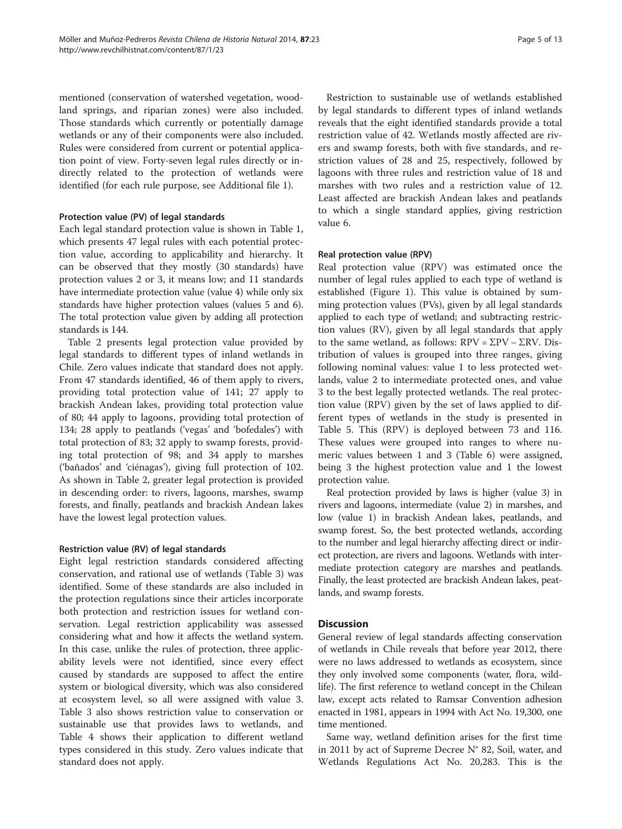mentioned (conservation of watershed vegetation, woodland springs, and riparian zones) were also included. Those standards which currently or potentially damage wetlands or any of their components were also included. Rules were considered from current or potential application point of view. Forty-seven legal rules directly or indirectly related to the protection of wetlands were identified (for each rule purpose, see Additional file [1\)](#page-11-0).

#### Protection value (PV) of legal standards

Each legal standard protection value is shown in Table [1](#page-5-0), which presents 47 legal rules with each potential protection value, according to applicability and hierarchy. It can be observed that they mostly (30 standards) have protection values 2 or 3, it means low; and 11 standards have intermediate protection value (value 4) while only six standards have higher protection values (values 5 and 6). The total protection value given by adding all protection standards is 144.

Table [2](#page-7-0) presents legal protection value provided by legal standards to different types of inland wetlands in Chile. Zero values indicate that standard does not apply. From 47 standards identified, 46 of them apply to rivers, providing total protection value of 141; 27 apply to brackish Andean lakes, providing total protection value of 80; 44 apply to lagoons, providing total protection of 134; 28 apply to peatlands ('vegas' and 'bofedales') with total protection of 83; 32 apply to swamp forests, providing total protection of 98; and 34 apply to marshes ('bañados' and 'ciénagas'), giving full protection of 102. As shown in Table [2](#page-7-0), greater legal protection is provided in descending order: to rivers, lagoons, marshes, swamp forests, and finally, peatlands and brackish Andean lakes have the lowest legal protection values.

# Restriction value (RV) of legal standards

Eight legal restriction standards considered affecting conservation, and rational use of wetlands (Table [3\)](#page-9-0) was identified. Some of these standards are also included in the protection regulations since their articles incorporate both protection and restriction issues for wetland conservation. Legal restriction applicability was assessed considering what and how it affects the wetland system. In this case, unlike the rules of protection, three applicability levels were not identified, since every effect caused by standards are supposed to affect the entire system or biological diversity, which was also considered at ecosystem level, so all were assigned with value 3. Table [3](#page-9-0) also shows restriction value to conservation or sustainable use that provides laws to wetlands, and Table [4](#page-10-0) shows their application to different wetland types considered in this study. Zero values indicate that standard does not apply.

Restriction to sustainable use of wetlands established by legal standards to different types of inland wetlands reveals that the eight identified standards provide a total restriction value of 42. Wetlands mostly affected are rivers and swamp forests, both with five standards, and restriction values of 28 and 25, respectively, followed by lagoons with three rules and restriction value of 18 and marshes with two rules and a restriction value of 12. Least affected are brackish Andean lakes and peatlands to which a single standard applies, giving restriction value 6.

# Real protection value (RPV)

Real protection value (RPV) was estimated once the number of legal rules applied to each type of wetland is established (Figure [1\)](#page-2-0). This value is obtained by summing protection values (PVs), given by all legal standards applied to each type of wetland; and subtracting restriction values (RV), given by all legal standards that apply to the same wetland, as follows:  $RPV = \Sigma PV - \Sigma RV$ . Distribution of values is grouped into three ranges, giving following nominal values: value 1 to less protected wetlands, value 2 to intermediate protected ones, and value 3 to the best legally protected wetlands. The real protection value (RPV) given by the set of laws applied to different types of wetlands in the study is presented in Table [5.](#page-10-0) This (RPV) is deployed between 73 and 116. These values were grouped into ranges to where numeric values between 1 and 3 (Table [6](#page-10-0)) were assigned, being 3 the highest protection value and 1 the lowest protection value.

Real protection provided by laws is higher (value 3) in rivers and lagoons, intermediate (value 2) in marshes, and low (value 1) in brackish Andean lakes, peatlands, and swamp forest. So, the best protected wetlands, according to the number and legal hierarchy affecting direct or indirect protection, are rivers and lagoons. Wetlands with intermediate protection category are marshes and peatlands. Finally, the least protected are brackish Andean lakes, peatlands, and swamp forests.

# **Discussion**

General review of legal standards affecting conservation of wetlands in Chile reveals that before year 2012, there were no laws addressed to wetlands as ecosystem, since they only involved some components (water, flora, wildlife). The first reference to wetland concept in the Chilean law, except acts related to Ramsar Convention adhesion enacted in 1981, appears in 1994 with Act No. 19,300, one time mentioned.

Same way, wetland definition arises for the first time in 2011 by act of Supreme Decree N° 82, Soil, water, and Wetlands Regulations Act No. 20,283. This is the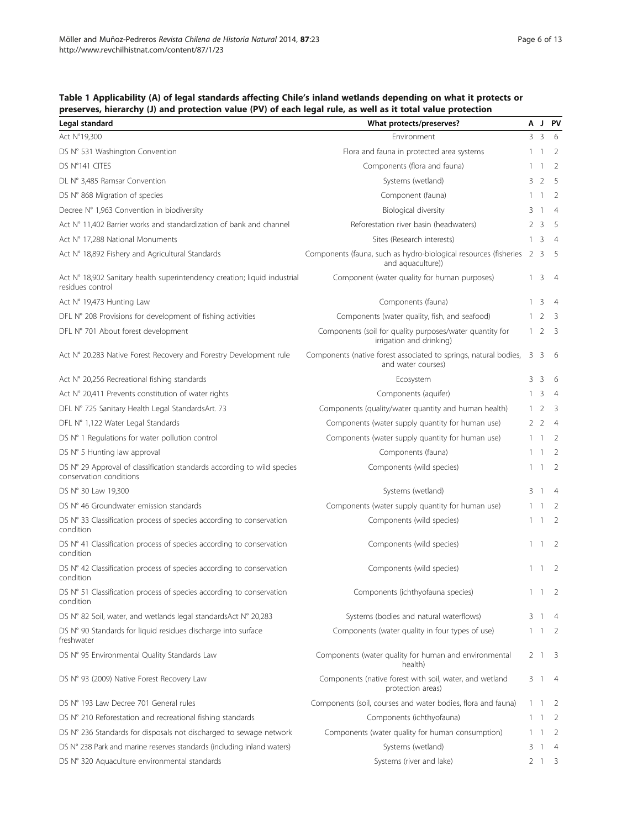#### Legal standard What protects/preserves? A J PV Act N°19,300 and 3 3 6 for the state of the state of the state of the state of the state of the state of the state of the state of the state of the state of the state of the state of the state of the state of the state of DS N° 531 Washington Convention Flora and fauna in protected area systems and fauna in protected area systems and the 1 1 2 DS N°141 CITES 10 1 2 DL N° 3,485 Ramsar Convention and Systems (wetland) 3 2 5 DS N° 868 Migration of species Component (fauna) 1 1 2 Decree N° 1,963 Convention in biodiversity and the state of the state and the Biological diversity and the state 3 1 4 Act N° 11,402 Barrier works and standardization of bank and channel Reforestation river basin (headwaters) 2 3 5 Act N° 17,288 National Monuments and Sites (Research interests) and Sites (Research interests) and Sites (Research interests) and Sites (Research interests) and Sites (Research interests) and Sites (Research interests) and Act N° 18,892 Fishery and Agricultural Standards **Components (fauna, such as hydro-biological resources (fisheries** 2 3 5 and aquaculture)) Act N° 18,902 Sanitary health superintendency creation; liquid industrial residues control Component (water quality for human purposes) 1 3 4 Act N° 19,473 Hunting Law 1 3 4 Act N° 19,473 Hunting Law 2 Components (fauna) DFL N° 208 Provisions for development of fishing activities Components (water quality, fish, and seafood) 1 2 3 DFL N° 701 About forest development Component Components (soil for quality purposes/water quantity for irrigation and drinking) 12 3 Act N° 20.283 Native Forest Recovery and Forestry Development rule and water courses) Components (native forest associated to springs, natural bodies, 3 3 6 Act N° 20,256 Recreational fishing standards and the state of the state of the state Ecosystem and the standards and the standards and the standards and the standards and the standards and the standards and the standards a Act N° 20,411 Prevents constitution of water rights Components (aquifer) 1 3 4 DFL N° 725 Sanitary Health Legal StandardsArt. 73 Components (quality/water quantity and human health) 1 2 3 DFL N° 1,122 Water Legal Standards **Components (water supply quantity for human use**) 2 2 4 DS N° 1 Regulations for water pollution control Components (water supply quantity for human use) 1 1 2 DS N° 5 Hunting law approval Components (fauna) 1 1 2 DS N° 29 Approval of classification standards according to wild species conservation conditions Components (wild species) 1 1 2 DS N° 30 Law 19,300 3 1 4 AM Systems (wetland) 3 1 4 DS N° 46 Groundwater emission standards examples and the Components (water supply quantity for human use) and 1 2 DS N° 33 Classification process of species according to conservation condition Components (wild species) 1 1 2 DS N° 41 Classification process of species according to conservation condition Components (wild species) 1 1 2 DS N° 42 Classification process of species according to conservation condition Components (wild species) 1 1 2 DS N° 51 Classification process of species according to conservation condition Components (ichthyofauna species) 1 1 2 DS N° 82 Soil, water, and wetlands legal standardsAct N° 20,283 Systems (bodies and natural waterflows) 3 1 4 DS N° 90 Standards for liquid residues discharge into surface freshwater Components (water quality in four types of use) 1 1 2 DS N° 95 Environmental Quality Standards Law Components (water quality for human and environmental health) 21 3 DS N° 93 (2009) Native Forest Recovery Law Components (native forest with soil, water, and wetland protection areas) 31 4 DS N° 193 Law Decree 701 General rules Components (soil, courses and water bodies, flora and fauna) 1 1 2 DS N° 210 Reforestation and recreational fishing standards Components (ichthyofauna) 1 1 2 DS N° 236 Standards for disposals not discharged to sewage network Components (water quality for human consumption) 1 1 2 DS N° 238 Park and marine reserves standards (including inland waters) Systems (wetland) 3 1 4 DS N° 320 Aquaculture environmental standards and standards Systems (river and lake) 2 1 3

#### <span id="page-5-0"></span>Table 1 Applicability (A) of legal standards affecting Chile's inland wetlands depending on what it protects or preserves, hierarchy (J) and protection value (PV) of each legal rule, as well as it total value protection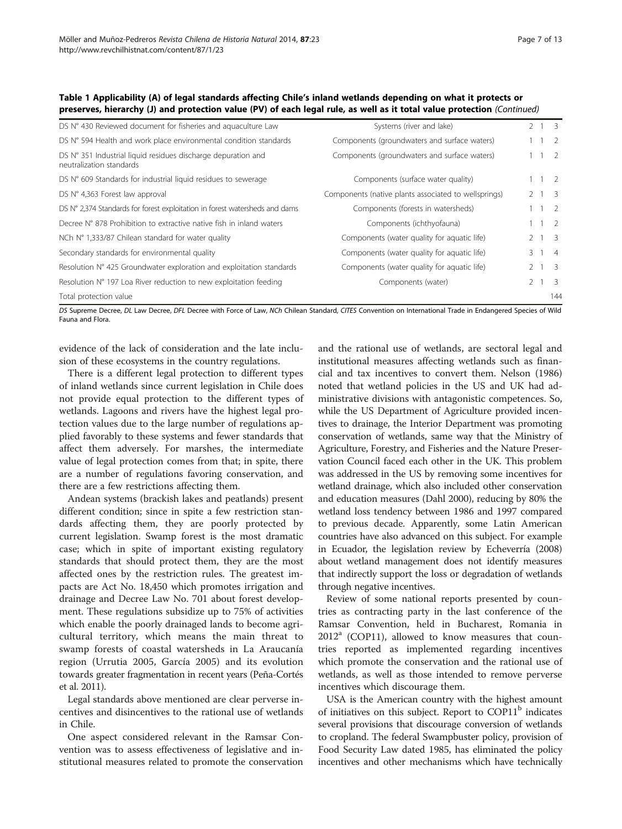| DS N° 430 Reviewed document for fisheries and aquaculture Law                             | Systems (river and lake)                             |               |                | 2 1 3                    |
|-------------------------------------------------------------------------------------------|------------------------------------------------------|---------------|----------------|--------------------------|
| DS N° 594 Health and work place environmental condition standards                         | Components (groundwaters and surface waters)         |               |                | $\overline{2}$           |
| DS N° 351 Industrial liquid residues discharge depuration and<br>neutralization standards | Components (groundwaters and surface waters)         |               |                | $\overline{2}$           |
| DS N° 609 Standards for industrial liquid residues to sewerage                            | Components (surface water quality)                   |               |                | $\overline{2}$           |
| DS Nº 4,363 Forest law approval                                                           | Components (native plants associated to wellsprings) |               | $2-1$          | $\overline{\phantom{a}}$ |
| DS N° 2,374 Standards for forest exploitation in forest watersheds and dams               | Components (forests in watersheds)                   |               |                | $\overline{2}$           |
| Decree N° 878 Prohibition to extractive native fish in inland waters                      | Components (ichthyofauna)                            |               |                | $\overline{2}$           |
| NCh N° 1,333/87 Chilean standard for water quality                                        | Components (water quality for aquatic life)          |               |                | 2 1 3                    |
| Secondary standards for environmental quality                                             | Components (water quality for aquatic life)          |               | $3-1$          | $\overline{4}$           |
| Resolution N° 425 Groundwater exploration and exploitation standards                      | Components (water quality for aquatic life)          |               | 2 <sub>1</sub> | $\overline{\phantom{a}}$ |
| Resolution N° 197 Loa River reduction to new exploitation feeding                         | Components (water)                                   | $\mathcal{P}$ |                | $\overline{\mathbf{3}}$  |
| Total protection value                                                                    |                                                      |               |                | 144                      |

Table 1 Applicability (A) of legal standards affecting Chile's inland wetlands depending on what it protects or preserves, hierarchy (J) and protection value (PV) of each legal rule, as well as it total value protection (Continued)

DS Supreme Decree, DL Law Decree, DFL Decree with Force of Law, NCh Chilean Standard, CITES Convention on International Trade in Endangered Species of Wild Fauna and Flora.

evidence of the lack of consideration and the late inclusion of these ecosystems in the country regulations.

There is a different legal protection to different types of inland wetlands since current legislation in Chile does not provide equal protection to the different types of wetlands. Lagoons and rivers have the highest legal protection values due to the large number of regulations applied favorably to these systems and fewer standards that affect them adversely. For marshes, the intermediate value of legal protection comes from that; in spite, there are a number of regulations favoring conservation, and there are a few restrictions affecting them.

Andean systems (brackish lakes and peatlands) present different condition; since in spite a few restriction standards affecting them, they are poorly protected by current legislation. Swamp forest is the most dramatic case; which in spite of important existing regulatory standards that should protect them, they are the most affected ones by the restriction rules. The greatest impacts are Act No. 18,450 which promotes irrigation and drainage and Decree Law No. 701 about forest development. These regulations subsidize up to 75% of activities which enable the poorly drainaged lands to become agricultural territory, which means the main threat to swamp forests of coastal watersheds in La Araucanía region (Urrutia [2005](#page-12-0), García [2005](#page-11-0)) and its evolution towards greater fragmentation in recent years (Peña-Cortés et al. [2011\)](#page-12-0).

Legal standards above mentioned are clear perverse incentives and disincentives to the rational use of wetlands in Chile.

One aspect considered relevant in the Ramsar Convention was to assess effectiveness of legislative and institutional measures related to promote the conservation and the rational use of wetlands, are sectoral legal and institutional measures affecting wetlands such as financial and tax incentives to convert them. Nelson ([1986](#page-12-0)) noted that wetland policies in the US and UK had administrative divisions with antagonistic competences. So, while the US Department of Agriculture provided incentives to drainage, the Interior Department was promoting conservation of wetlands, same way that the Ministry of Agriculture, Forestry, and Fisheries and the Nature Preservation Council faced each other in the UK. This problem was addressed in the US by removing some incentives for wetland drainage, which also included other conservation and education measures (Dahl [2000\)](#page-11-0), reducing by 80% the wetland loss tendency between 1986 and 1997 compared to previous decade. Apparently, some Latin American countries have also advanced on this subject. For example in Ecuador, the legislation review by Echeverría [\(2008](#page-11-0)) about wetland management does not identify measures that indirectly support the loss or degradation of wetlands through negative incentives.

Review of some national reports presented by countries as contracting party in the last conference of the Ramsar Convention, held in Bucharest, Romania in  $2012^a$  (COP11), allowed to know measures that countries reported as implemented regarding incentives which promote the conservation and the rational use of wetlands, as well as those intended to remove perverse incentives which discourage them.

USA is the American country with the highest amount of initiatives on this subject. Report to  $\text{COP11}^{\text{b}}$  indicates several provisions that discourage conversion of wetlands to cropland. The federal Swampbuster policy, provision of Food Security Law dated 1985, has eliminated the policy incentives and other mechanisms which have technically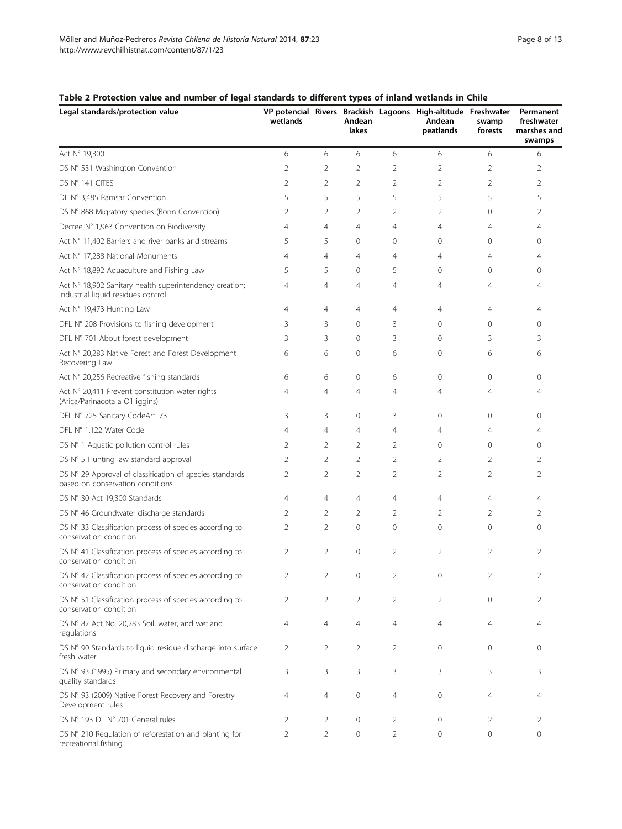<span id="page-7-0"></span>

| Table 2 Protection value and number of legal standards to different types of inland wetlands in Chile |  |
|-------------------------------------------------------------------------------------------------------|--|
|                                                                                                       |  |

| Legal standards/protection value                                                              | wetlands       |                | Andean<br>lakes |                | VP potencial Rivers Brackish Lagoons High-altitude Freshwater<br>Andean<br>peatlands | swamp<br>forests | Permanent<br>freshwater<br>marshes and<br>swamps |
|-----------------------------------------------------------------------------------------------|----------------|----------------|-----------------|----------------|--------------------------------------------------------------------------------------|------------------|--------------------------------------------------|
| Act N° 19,300                                                                                 | 6              | 6              | 6               | 6              | 6                                                                                    | 6                | 6                                                |
| DS Nº 531 Washington Convention                                                               | $\overline{2}$ | 2              | 2               | 2              | 2                                                                                    | 2                | 2                                                |
| DS N° 141 CITES                                                                               | 2              | 2              | 2               | 2              | 2                                                                                    | 2                | 2                                                |
| DL Nº 3,485 Ramsar Convention                                                                 | 5              | 5              | 5               | 5              | 5                                                                                    | 5                | 5                                                |
| DS N° 868 Migratory species (Bonn Convention)                                                 | 2              | $\overline{2}$ | 2               | 2              | 2                                                                                    | 0                | 2                                                |
| Decree Nº 1,963 Convention on Biodiversity                                                    | 4              | 4              | 4               | $\overline{4}$ | 4                                                                                    | 4                | 4                                                |
| Act N° 11,402 Barriers and river banks and streams                                            | 5              | 5              | 0               | 0              | 0                                                                                    | 0                | 0                                                |
| Act Nº 17,288 National Monuments                                                              | 4              | 4              | 4               | 4              | 4                                                                                    | $\overline{4}$   | 4                                                |
| Act N° 18,892 Aquaculture and Fishing Law                                                     | 5              | 5              | 0               | 5              | 0                                                                                    | 0                | 0                                                |
| Act N° 18,902 Sanitary health superintendency creation;<br>industrial liquid residues control | 4              | 4              | 4               | 4              | 4                                                                                    | 4                | 4                                                |
| Act N° 19,473 Hunting Law                                                                     | 4              | 4              | 4               | 4              | 4                                                                                    | 4                | 4                                                |
| DFL N° 208 Provisions to fishing development                                                  | 3              | 3              | 0               | 3              | 0                                                                                    | 0                | 0                                                |
| DFL N° 701 About forest development                                                           | 3              | 3              | 0               | 3              | 0                                                                                    | 3                | 3                                                |
| Act N° 20,283 Native Forest and Forest Development<br>Recovering Law                          | 6              | 6              | $\mathbf 0$     | 6              | 0                                                                                    | 6                | 6                                                |
| Act N° 20,256 Recreative fishing standards                                                    | 6              | 6              | 0               | 6              | 0                                                                                    | 0                | 0                                                |
| Act N° 20,411 Prevent constitution water rights<br>(Arica/Parinacota a O'Higgins)             | 4              | 4              | 4               | 4              | 4                                                                                    | 4                | 4                                                |
| DFL Nº 725 Sanitary CodeArt. 73                                                               | 3              | 3              | $\mathbf{0}$    | 3              | 0                                                                                    | $\mathbf 0$      | 0                                                |
| DFL N° 1,122 Water Code                                                                       | $\overline{4}$ | 4              | $\overline{4}$  | 4              | 4                                                                                    | 4                | 4                                                |
| DS N° 1 Aquatic pollution control rules                                                       | 2              | 2              | 2               | 2              | 0                                                                                    | 0                | 0                                                |
| DS N° 5 Hunting law standard approval                                                         | 2              | $\overline{2}$ | 2               | 2              | 2                                                                                    | 2                | 2                                                |
| DS N° 29 Approval of classification of species standards<br>based on conservation conditions  | 2              | 2              | 2               | 2              | 2                                                                                    | 2                | 2                                                |
| DS N° 30 Act 19,300 Standards                                                                 | 4              | 4              | 4               | 4              | 4                                                                                    | 4                | 4                                                |
| DS N° 46 Groundwater discharge standards                                                      | 2              | $\overline{2}$ | 2               | $\overline{2}$ | 2                                                                                    | 2                | 2                                                |
| DS N° 33 Classification process of species according to<br>conservation condition             | 2              | 2              | $\mathbf 0$     | $\mathbf{0}$   | 0                                                                                    | 0                | 0                                                |
| DS N° 41 Classification process of species according to<br>conservation condition             | 2              | 2              | $\mathbf 0$     | 2              | 2                                                                                    | 2                | 2                                                |
| DS N° 42 Classification process of species according to<br>conservation condition             | 2              | 2              | 0               |                | 0                                                                                    | 2                | 2                                                |
| DS N° 51 Classification process of species according to<br>conservation condition             | $\overline{2}$ | $\overline{2}$ | 2               | 2              | 2                                                                                    | 0                | $\overline{2}$                                   |
| DS N° 82 Act No. 20,283 Soil, water, and wetland<br>regulations                               | $\overline{4}$ | $\overline{4}$ | 4               | $\overline{4}$ | 4                                                                                    | 4                | $\overline{4}$                                   |
| DS N° 90 Standards to liquid residue discharge into surface<br>fresh water                    | 2              | $\overline{2}$ | 2               | $\overline{2}$ | $\mathbf 0$                                                                          | 0                | $\circ$                                          |
| DS N° 93 (1995) Primary and secondary environmental<br>quality standards                      | 3              | 3              | 3               | 3              | 3                                                                                    | 3                | 3                                                |
| DS N° 93 (2009) Native Forest Recovery and Forestry<br>Development rules                      | $\overline{4}$ | 4              | 0               | $\overline{4}$ | 0                                                                                    | 4                | 4                                                |
| DS N° 193 DL N° 701 General rules                                                             | $\overline{2}$ | $\overline{2}$ | $\mathbf 0$     | 2              | $\mathbf{0}$                                                                         | 2                | $\overline{2}$                                   |
| DS N° 210 Regulation of reforestation and planting for<br>recreational fishing                | 2              | $\overline{2}$ | $\mathbf 0$     | $\overline{2}$ | $\mathbf{0}$                                                                         | 0                | 0                                                |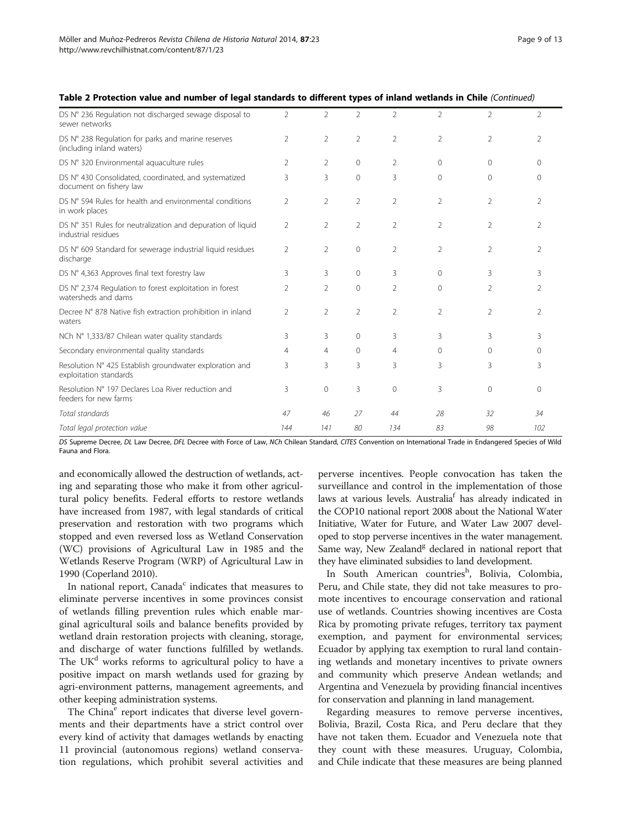| DS N° 236 Regulation not discharged sewage disposal to<br>sewer networks           | $\overline{2}$ | 2              | 2              | $\overline{2}$ | $\overline{2}$ | $\overline{2}$ | $\overline{2}$ |
|------------------------------------------------------------------------------------|----------------|----------------|----------------|----------------|----------------|----------------|----------------|
| DS N° 238 Regulation for parks and marine reserves<br>(including inland waters)    | $\mathcal{P}$  | 2              | $\overline{2}$ | $\overline{2}$ | 2              | 2              | 2              |
| DS N° 320 Environmental aquaculture rules                                          | $\overline{2}$ | 2              | $\mathbf{0}$   | $\overline{2}$ | $\Omega$       | $\Omega$       | $\Omega$       |
| DS N° 430 Consolidated, coordinated, and systematized<br>document on fishery law   | 3              | 3              | $\mathbf{0}$   | 3              | $\Omega$       | $\Omega$       | $\Omega$       |
| DS N° 594 Rules for health and environmental conditions<br>in work places          | $\overline{2}$ | $\overline{2}$ | $\overline{2}$ | $\overline{2}$ | 2              | $\overline{2}$ | $\overline{2}$ |
| DS N° 351 Rules for neutralization and depuration of liquid<br>industrial residues | 2              | 2              | $\overline{2}$ | 2              | 2              | 2              | 2              |
| DS N° 609 Standard for sewerage industrial liquid residues<br>discharge            | 2              | 2              | $\mathbf{0}$   | 2              | 2              | 2              | 2              |
| DS N° 4,363 Approves final text forestry law                                       | 3              | 3              | $\mathbf{0}$   | 3              | $\Omega$       | 3              | 3              |
| DS N° 2,374 Regulation to forest exploitation in forest<br>watersheds and dams     | 2              | $\overline{2}$ | $\mathbf{0}$   | 2              | $\mathbf{0}$   | 2              | 2              |
| Decree N° 878 Native fish extraction prohibition in inland<br>waters               | 2              | $\overline{2}$ | 2              | $\overline{2}$ | 2              | 2              | 2              |
| NCh Nº 1,333/87 Chilean water quality standards                                    | 3              | 3              | $\mathbf 0$    | 3              | 3              | 3              | 3              |
| Secondary environmental quality standards                                          | 4              | 4              | $\Omega$       | 4              | $\Omega$       | $\Omega$       | $\Omega$       |
| Resolution N° 425 Establish groundwater exploration and<br>exploitation standards  | 3              | 3              | 3              | 3              | 3              | 3              | 3              |
| Resolution N° 197 Declares Loa River reduction and<br>feeders for new farms        | 3              | $\mathbf{0}$   | 3              | $\Omega$       | 3              | $\mathbf{0}$   | $\Omega$       |
| Total standards                                                                    | 47             | 46             | 27             | 44             | 28             | 32             | 34             |
| Total legal protection value                                                       | 144            | 141            | 80             | 134            | 83             | 98             | 102            |

| Table 2 Protection value and number of legal standards to different types of inland wetlands in Chile (Continued) |  |  |  |
|-------------------------------------------------------------------------------------------------------------------|--|--|--|
|-------------------------------------------------------------------------------------------------------------------|--|--|--|

DS Supreme Decree, DL Law Decree, DFL Decree with Force of Law, NCh Chilean Standard, CITES Convention on International Trade in Endangered Species of Wild Fauna and Flora.

and economically allowed the destruction of wetlands, acting and separating those who make it from other agricultural policy benefits. Federal efforts to restore wetlands have increased from 1987, with legal standards of critical preservation and restoration with two programs which stopped and even reversed loss as Wetland Conservation (WC) provisions of Agricultural Law in 1985 and the Wetlands Reserve Program (WRP) of Agricultural Law in 1990 (Coperland [2010](#page-11-0)).

In national report, Canada<sup>c</sup> indicates that measures to eliminate perverse incentives in some provinces consist of wetlands filling prevention rules which enable marginal agricultural soils and balance benefits provided by wetland drain restoration projects with cleaning, storage, and discharge of water functions fulfilled by wetlands. The  $UK<sup>d</sup>$  works reforms to agricultural policy to have a positive impact on marsh wetlands used for grazing by agri-environment patterns, management agreements, and other keeping administration systems.

The China<sup>e</sup> report indicates that diverse level governments and their departments have a strict control over every kind of activity that damages wetlands by enacting 11 provincial (autonomous regions) wetland conservation regulations, which prohibit several activities and

perverse incentives. People convocation has taken the surveillance and control in the implementation of those laws at various levels. Australia<sup>f</sup> has already indicated in the COP10 national report 2008 about the National Water Initiative, Water for Future, and Water Law 2007 developed to stop perverse incentives in the water management. Same way, New Zealand<sup>g</sup> declared in national report that they have eliminated subsidies to land development.

In South American countries<sup>h</sup>, Bolivia, Colombia, Peru, and Chile state, they did not take measures to promote incentives to encourage conservation and rational use of wetlands. Countries showing incentives are Costa Rica by promoting private refuges, territory tax payment exemption, and payment for environmental services; Ecuador by applying tax exemption to rural land containing wetlands and monetary incentives to private owners and community which preserve Andean wetlands; and Argentina and Venezuela by providing financial incentives for conservation and planning in land management.

Regarding measures to remove perverse incentives, Bolivia, Brazil, Costa Rica, and Peru declare that they have not taken them. Ecuador and Venezuela note that they count with these measures. Uruguay, Colombia, and Chile indicate that these measures are being planned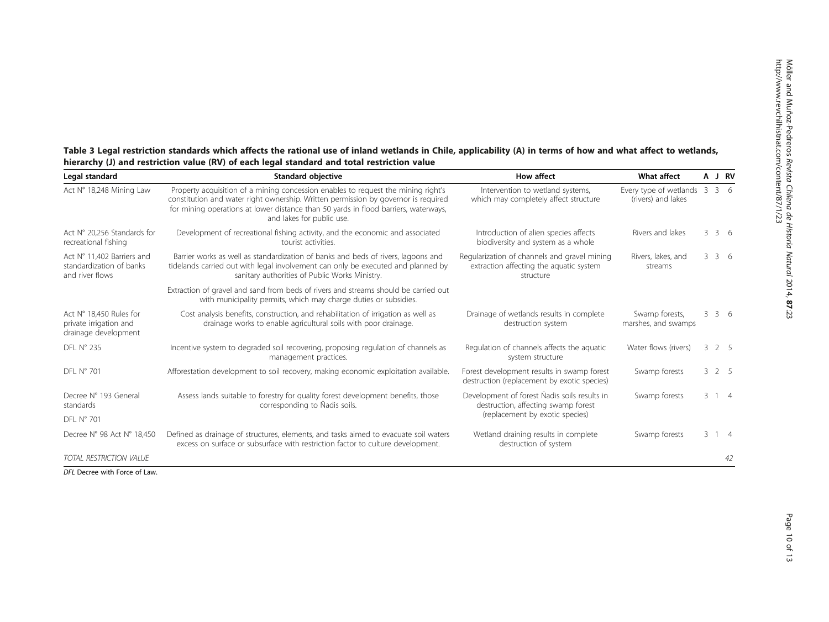<u>بن</u>

<span id="page-9-0"></span>

|   | Table 3 Legal restriction standards which affects the rational use of inland wetlands in Chile, applicability (A) in terms of how and what affect to wetlands, |                                                                                                                                                                                                                                 |
|---|----------------------------------------------------------------------------------------------------------------------------------------------------------------|---------------------------------------------------------------------------------------------------------------------------------------------------------------------------------------------------------------------------------|
|   | hierarchy (J) and restriction value (RV) of each legal standard and total restriction value                                                                    |                                                                                                                                                                                                                                 |
| . |                                                                                                                                                                | $\sim$ . The contract of the contract of the contract of the contract of the contract of the contract of the contract of the contract of the contract of the contract of the contract of the contract of the contract of the co |

| Legal standard                                                            | <b>Standard objective</b>                                                                                                                                                                                                                                                                   | How affect                                                                                           | <b>What affect</b>                             |                | A J RV              |    |
|---------------------------------------------------------------------------|---------------------------------------------------------------------------------------------------------------------------------------------------------------------------------------------------------------------------------------------------------------------------------------------|------------------------------------------------------------------------------------------------------|------------------------------------------------|----------------|---------------------|----|
| Act N° 18,248 Mining Law                                                  | Property acquisition of a mining concession enables to request the mining right's<br>constitution and water right ownership. Written permission by governor is required<br>for mining operations at lower distance than 50 yards in flood barriers, waterways,<br>and lakes for public use. | Intervention to wetland systems,<br>which may completely affect structure                            | Every type of wetlands 3<br>(rivers) and lakes |                | $3\quad 6$          |    |
| Act N° 20,256 Standards for<br>recreational fishing                       | Development of recreational fishing activity, and the economic and associated<br>tourist activities.                                                                                                                                                                                        | Introduction of alien species affects<br>biodiversity and system as a whole                          | Rivers and lakes                               | $\overline{3}$ | $3\overline{6}$     |    |
| Act N° 11.402 Barriers and<br>standardization of banks<br>and river flows | Barrier works as well as standardization of banks and beds of rivers, lagoons and<br>tidelands carried out with legal involvement can only be executed and planned by<br>sanitary authorities of Public Works Ministry.                                                                     | Regularization of channels and gravel mining<br>extraction affecting the aquatic system<br>structure | Rivers, lakes, and<br>streams                  |                | 336                 |    |
|                                                                           | Extraction of gravel and sand from beds of rivers and streams should be carried out<br>with municipality permits, which may charge duties or subsidies.                                                                                                                                     |                                                                                                      |                                                |                |                     |    |
| Act N° 18,450 Rules for<br>private irrigation and<br>drainage development | Cost analysis benefits, construction, and rehabilitation of irrigation as well as<br>drainage works to enable agricultural soils with poor drainage.                                                                                                                                        | Drainage of wetlands results in complete<br>destruction system                                       | Swamp forests,<br>marshes, and swamps          |                | $3 \quad 3 \quad 6$ |    |
| <b>DFL N° 235</b>                                                         | Incentive system to degraded soil recovering, proposing regulation of channels as<br>management practices.                                                                                                                                                                                  | Regulation of channels affects the aquatic<br>system structure                                       | Water flows (rivers)                           | 3              | 2 5                 |    |
| <b>DFL N° 701</b>                                                         | Afforestation development to soil recovery, making economic exploitation available.                                                                                                                                                                                                         | Forest development results in swamp forest<br>destruction (replacement by exotic species)            | Swamp forests                                  |                | 3 2 5               |    |
| Decree Nº 193 General<br>standards                                        | Assess lands suitable to forestry for quality forest development benefits, those<br>corresponding to Nadis soils.                                                                                                                                                                           | Development of forest Ñadis soils results in<br>destruction, affecting swamp forest                  | Swamp forests                                  | 3              | $1 \quad 4$         |    |
| <b>DFL N° 701</b>                                                         |                                                                                                                                                                                                                                                                                             | (replacement by exotic species)                                                                      |                                                |                |                     |    |
| Decree N° 98 Act N° 18,450                                                | Defined as drainage of structures, elements, and tasks aimed to evacuate soil waters<br>excess on surface or subsurface with restriction factor to culture development.                                                                                                                     | Wetland draining results in complete<br>destruction of system                                        | Swamp forests                                  | 3              | $1 \quad 4$         |    |
| <b>TOTAL RESTRICTION VALUE</b>                                            |                                                                                                                                                                                                                                                                                             |                                                                                                      |                                                |                |                     | 42 |

DFL Decree with Force of Law.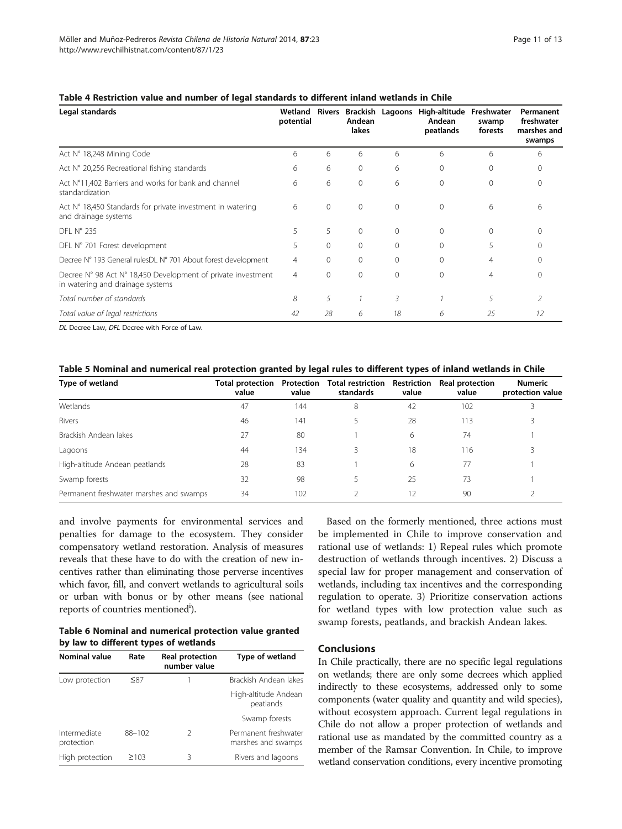| Legal standards                                                                                  | Wetland<br>potential | Rivers   | Andean<br>lakes |          | Brackish Lagoons High-altitude Freshwater<br>Andean<br>peatlands | swamp<br>forests | Permanent<br>freshwater<br>marshes and<br>swamps |
|--------------------------------------------------------------------------------------------------|----------------------|----------|-----------------|----------|------------------------------------------------------------------|------------------|--------------------------------------------------|
| Act N° 18,248 Mining Code                                                                        | 6                    | 6        | 6               | 6        | 6                                                                | 6                | 6                                                |
| Act N° 20,256 Recreational fishing standards                                                     | 6                    | 6        | 0               | 6        | $\circ$                                                          | 0                | 0                                                |
| Act N°11,402 Barriers and works for bank and channel<br>standardization                          | 6                    | 6        | $\Omega$        | 6        | $\Omega$                                                         | $\Omega$         | 0                                                |
| Act N° 18,450 Standards for private investment in watering<br>and drainage systems               | 6                    | 0        | $\mathbf{0}$    | 0        | $\circ$                                                          | 6                | 6                                                |
| <b>DFL N° 235</b>                                                                                | 5                    | 5        | $\mathbf{0}$    | 0        | $\mathbf{0}$                                                     | 0                | $\Omega$                                         |
| DFL N° 701 Forest development                                                                    | 5                    | $\Omega$ | $\Omega$        | $\Omega$ | $\Omega$                                                         | 5                |                                                  |
| Decree N° 193 General rulesDL N° 701 About forest development                                    | 4                    | $\Omega$ | 0               | 0        | $\Omega$                                                         | 4                | 0                                                |
| Decree N° 98 Act N° 18,450 Development of private investment<br>in watering and drainage systems | 4                    | $\Omega$ | $\mathbf{0}$    | 0        | $\Omega$                                                         | 4                | 0                                                |
| Total number of standards                                                                        | 8                    | 5        |                 | 3        |                                                                  | 5                |                                                  |
| Total value of legal restrictions                                                                | 42                   | 28       | 6               | 18       | 6                                                                | 25               | 12                                               |

#### <span id="page-10-0"></span>Table 4 Restriction value and number of legal standards to different inland wetlands in Chile

DL Decree Law, DFL Decree with Force of Law.

#### Table 5 Nominal and numerical real protection granted by legal rules to different types of inland wetlands in Chile

| Type of wetland                         | <b>Total protection</b><br>value | Protection<br>value | Total restriction<br>standards | Restriction<br>value | Real protection<br>value | <b>Numeric</b><br>protection value |
|-----------------------------------------|----------------------------------|---------------------|--------------------------------|----------------------|--------------------------|------------------------------------|
| Wetlands                                | 47                               | 144                 | 8                              | 42                   | 102                      |                                    |
| Rivers                                  | 46                               | 141                 |                                | 28                   | 113                      |                                    |
| Brackish Andean lakes                   | 27                               | 80                  |                                | 6                    | 74                       |                                    |
| Lagoons                                 | 44                               | 134                 | 3                              | 18                   | 116                      |                                    |
| High-altitude Andean peatlands          | 28                               | 83                  |                                | 6                    | 77                       |                                    |
| Swamp forests                           | 32                               | 98                  |                                | 25                   | 73                       |                                    |
| Permanent freshwater marshes and swamps | 34                               | 102                 |                                | 12                   | 90                       |                                    |

and involve payments for environmental services and penalties for damage to the ecosystem. They consider compensatory wetland restoration. Analysis of measures reveals that these have to do with the creation of new incentives rather than eliminating those perverse incentives which favor, fill, and convert wetlands to agricultural soils or urban with bonus or by other means (see national reports of countries mentioned<sup>i</sup>).

Table 6 Nominal and numerical protection value granted by law to different types of wetlands

| Nominal value              | Rate       | <b>Real protection</b><br>number value | Type of wetland                            |
|----------------------------|------------|----------------------------------------|--------------------------------------------|
| Low protection             | ≤87        |                                        | Brackish Andean lakes                      |
|                            |            |                                        | High-altitude Andean<br>peatlands          |
|                            |            |                                        | Swamp forests                              |
| Intermediate<br>protection | 88-102     | $\mathcal{P}$                          | Permanent freshwater<br>marshes and swamps |
| High protection            | $\geq 103$ | 3                                      | Rivers and lagoons                         |

Based on the formerly mentioned, three actions must be implemented in Chile to improve conservation and rational use of wetlands: 1) Repeal rules which promote destruction of wetlands through incentives. 2) Discuss a special law for proper management and conservation of wetlands, including tax incentives and the corresponding regulation to operate. 3) Prioritize conservation actions for wetland types with low protection value such as swamp forests, peatlands, and brackish Andean lakes.

#### Conclusions

In Chile practically, there are no specific legal regulations on wetlands; there are only some decrees which applied indirectly to these ecosystems, addressed only to some components (water quality and quantity and wild species), without ecosystem approach. Current legal regulations in Chile do not allow a proper protection of wetlands and rational use as mandated by the committed country as a member of the Ramsar Convention. In Chile, to improve wetland conservation conditions, every incentive promoting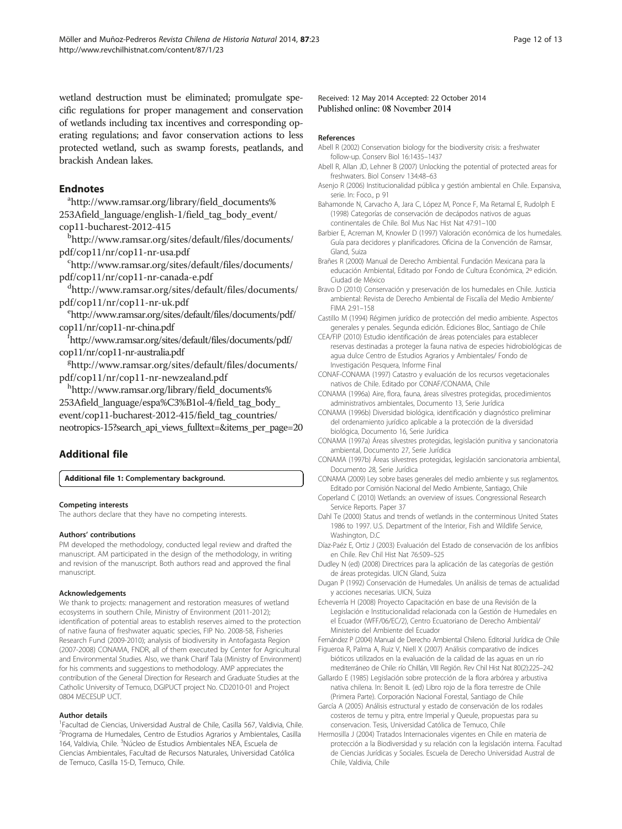<span id="page-11-0"></span>wetland destruction must be eliminated; promulgate specific regulations for proper management and conservation of wetlands including tax incentives and corresponding operating regulations; and favor conservation actions to less protected wetland, such as swamp forests, peatlands, and brackish Andean lakes.

# **Endnotes**

[http://www.ramsar.org/library/field\\_documents%](http://www.ramsar.org/library/field_documents%253Afield_language/english-1/field_tag_body_event/cop11-bucharest-2012-415) [253Afield\\_language/english-1/field\\_tag\\_body\\_event/](http://www.ramsar.org/library/field_documents%253Afield_language/english-1/field_tag_body_event/cop11-bucharest-2012-415) [cop11-bucharest-2012-415](http://www.ramsar.org/library/field_documents%253Afield_language/english-1/field_tag_body_event/cop11-bucharest-2012-415)

 $\bar{\rm b}$ [http://www.ramsar.org/sites/default/files/documents/](http://www.ramsar.org/sites/default/files/documents/pdf/cop11/nr/cop11-nr-usa.pdf) [pdf/cop11/nr/cop11-nr-usa.pdf](http://www.ramsar.org/sites/default/files/documents/pdf/cop11/nr/cop11-nr-usa.pdf)

[http://www.ramsar.org/sites/default/files/documents/](http://www.ramsar.org/sites/default/files/documents/pdf/cop11/nr/cop11-nr-canada-e.pdf) [pdf/cop11/nr/cop11-nr-canada-e.pdf](http://www.ramsar.org/sites/default/files/documents/pdf/cop11/nr/cop11-nr-canada-e.pdf)

d [http://www.ramsar.org/sites/default/files/documents/](http://www.ramsar.org/sites/default/files/documents/pdf/cop11/nr/cop11-nr-uk.pdf) [pdf/cop11/nr/cop11-nr-uk.pdf](http://www.ramsar.org/sites/default/files/documents/pdf/cop11/nr/cop11-nr-uk.pdf)

[http://www.ramsar.org/sites/default/files/documents/pdf/](http://www.ramsar.org/sites/default/files/documents/pdf/cop11/nr/cop11-nr-china.pdf) [cop11/nr/cop11-nr-china.pdf](http://www.ramsar.org/sites/default/files/documents/pdf/cop11/nr/cop11-nr-china.pdf)

f [http://www.ramsar.org/sites/default/files/documents/pdf/](http://www.ramsar.org/sites/default/files/documents/pdf/cop11/nr/cop11-nr-australia.pdf) [cop11/nr/cop11-nr-australia.pdf](http://www.ramsar.org/sites/default/files/documents/pdf/cop11/nr/cop11-nr-australia.pdf)

<sup>g</sup>[http://www.ramsar.org/sites/default/files/documents/](http://www.ramsar.org/sites/default/files/documents/pdf/cop11/nr/cop11-nr-newzealand.pdf) [pdf/cop11/nr/cop11-nr-newzealand.pdf](http://www.ramsar.org/sites/default/files/documents/pdf/cop11/nr/cop11-nr-newzealand.pdf)

h [http://www.ramsar.org/library/field\\_documents%](http://www.ramsar.org/library/field_documents%253Afield_language/espa%C3%B1ol-4/field_tag_body_event/cop11-bucharest-2012-415/field_tag_countries/neotropics-15?search_api_views_fulltext=&items_per_page=20) [253Afield\\_language/espa%C3%B1ol-4/field\\_tag\\_body\\_](http://www.ramsar.org/library/field_documents%253Afield_language/espa%C3%B1ol-4/field_tag_body_event/cop11-bucharest-2012-415/field_tag_countries/neotropics-15?search_api_views_fulltext=&items_per_page=20) [event/cop11-bucharest-2012-415/field\\_tag\\_countries/](http://www.ramsar.org/library/field_documents%253Afield_language/espa%C3%B1ol-4/field_tag_body_event/cop11-bucharest-2012-415/field_tag_countries/neotropics-15?search_api_views_fulltext=&items_per_page=20) [neotropics-15?search\\_api\\_views\\_fulltext=&items\\_per\\_page=20](http://www.ramsar.org/library/field_documents%253Afield_language/espa%C3%B1ol-4/field_tag_body_event/cop11-bucharest-2012-415/field_tag_countries/neotropics-15?search_api_views_fulltext=&items_per_page=20)

# Additional file

[Additional file 1:](http://www.revchilhistnat.com/content/supplementary/s40693-014-0023-1-s1.docx) Complementary background.

#### Competing interests

The authors declare that they have no competing interests.

#### Authors' contributions

PM developed the methodology, conducted legal review and drafted the manuscript. AM participated in the design of the methodology, in writing and revision of the manuscript. Both authors read and approved the final manuscript.

#### Acknowledgements

We thank to projects: management and restoration measures of wetland ecosystems in southern Chile, Ministry of Environment (2011-2012); identification of potential areas to establish reserves aimed to the protection of native fauna of freshwater aquatic species, FIP No. 2008-58, Fisheries Research Fund (2009-2010); analysis of biodiversity in Antofagasta Region (2007-2008) CONAMA, FNDR, all of them executed by Center for Agricultural and Environmental Studies. Also, we thank Charif Tala (Ministry of Environment) for his comments and suggestions to methodology. AMP appreciates the contribution of the General Direction for Research and Graduate Studies at the Catholic University of Temuco, DGIPUCT project No. CD2010-01 and Project 0804 MECESUP UCT.

#### Author details

1 Facultad de Ciencias, Universidad Austral de Chile, Casilla 567, Valdivia, Chile. <sup>2</sup>Programa de Humedales, Centro de Estudios Agrarios y Ambientales, Casilla 164, Valdivia, Chile. <sup>3</sup>Núcleo de Estudios Ambientales NEA, Escuela de Ciencias Ambientales, Facultad de Recursos Naturales, Universidad Católica de Temuco, Casilla 15-D, Temuco, Chile.

Received: 12 May 2014 Accepted: 22 October 2014 Published online: 08 November 2014

#### References

- Abell R (2002) Conservation biology for the biodiversity crisis: a freshwater follow-up. Conserv Biol 16:1435–1437
- Abell R, Allan JD, Lehner B (2007) Unlocking the potential of protected areas for freshwaters. Biol Conserv 134:48–63
- Asenjo R (2006) Institucionalidad pública y gestión ambiental en Chile. Expansiva, serie. In: Foco., p 91

Bahamonde N, Carvacho A, Jara C, López M, Ponce F, Ma Retamal E, Rudolph E (1998) Categorías de conservación de decápodos nativos de aguas continentales de Chile. Bol Mus Nac Hist Nat 47:91–100

Barbier E, Acreman M, Knowler D (1997) Valoración económica de los humedales. Guía para decidores y planificadores. Oficina de la Convención de Ramsar, Gland, Suiza

Brañes R (2000) Manual de Derecho Ambiental. Fundación Mexicana para la educación Ambiental, Editado por Fondo de Cultura Económica, 2º edición. Ciudad de México

Bravo D (2010) Conservación y preservación de los humedales en Chile. Justicia ambiental: Revista de Derecho Ambiental de Fiscalía del Medio Ambiente/ FIMA 2:91–158

Castillo M (1994) Régimen jurídico de protección del medio ambiente. Aspectos generales y penales. Segunda edición. Ediciones Bloc, Santiago de Chile

CEA/FIP (2010) Estudio identificación de áreas potenciales para establecer reservas destinadas a proteger la fauna nativa de especies hidrobiológicas de agua dulce Centro de Estudios Agrarios y Ambientales/ Fondo de Investigación Pesquera, Informe Final

CONAF-CONAMA (1997) Catastro y evaluación de los recursos vegetacionales nativos de Chile. Editado por CONAF/CONAMA, Chile

- CONAMA (1996a) Aire, flora, fauna, áreas silvestres protegidas, procedimientos administrativos ambientales, Documento 13, Serie Jurídica
- CONAMA (1996b) Diversidad biológica, identificación y diagnóstico preliminar del ordenamiento jurídico aplicable a la protección de la diversidad biológica, Documento 16, Serie Jurídica
- CONAMA (1997a) Áreas silvestres protegidas, legislación punitiva y sancionatoria ambiental, Documento 27, Serie Jurídica
- CONAMA (1997b) Áreas silvestres protegidas, legislación sancionatoria ambiental, Documento 28, Serie Jurídica

CONAMA (2009) Ley sobre bases generales del medio ambiente y sus reglamentos. Editado por Comisión Nacional del Medio Ambiente, Santiago, Chile

- Coperland C (2010) Wetlands: an overview of issues. Congressional Research Service Reports. Paper 37
- Dahl Te (2000) Status and trends of wetlands in the conterminous United States 1986 to 1997. U.S. Department of the Interior, Fish and Wildlife Service, Washington, D.C.
- Díaz-Paéz E, Ortiz J (2003) Evaluación del Estado de conservación de los anfibios en Chile. Rev Chil Hist Nat 76:509–525

Dudley N (ed) (2008) Directrices para la aplicación de las categorías de gestión de áreas protegidas. UICN Gland, Suiza

Dugan P (1992) Conservación de Humedales. Un análisis de temas de actualidad y acciones necesarias. UICN, Suiza

Echeverría H (2008) Proyecto Capacitación en base de una Revisión de la Legislación e Institucionalidad relacionada con la Gestión de Humedales en el Ecuador (WFF/06/EC/2), Centro Ecuatoriano de Derecho Ambiental/ Ministerio del Ambiente del Ecuador

Fernández P (2004) Manual de Derecho Ambiental Chileno. Editorial Jurídica de Chile Figueroa R, Palma A, Ruiz V, Niell X (2007) Análisis comparativo de índices

bióticos utilizados en la evaluación de la calidad de las aguas en un río mediterráneo de Chile: río Chillán, VIII Región. Rev Chil Hist Nat 80(2):225–242

Gallardo E (1985) Legislación sobre protección de la flora arbórea y arbustiva nativa chilena. In: Benoit IL (ed) Libro rojo de la flora terrestre de Chile (Primera Parte). Corporación Nacional Forestal, Santiago de Chile

García A (2005) Análisis estructural y estado de conservación de los rodales costeros de temu y pitra, entre Imperial y Queule, propuestas para su conservacion. Tesis, Universidad Católica de Temuco, Chile

Hermosilla J (2004) Tratados Internacionales vigentes en Chile en materia de protección a la Biodiversidad y su relación con la legislación interna. Facultad de Ciencias Jurídicas y Sociales. Escuela de Derecho Universidad Austral de Chile, Valdivia, Chile